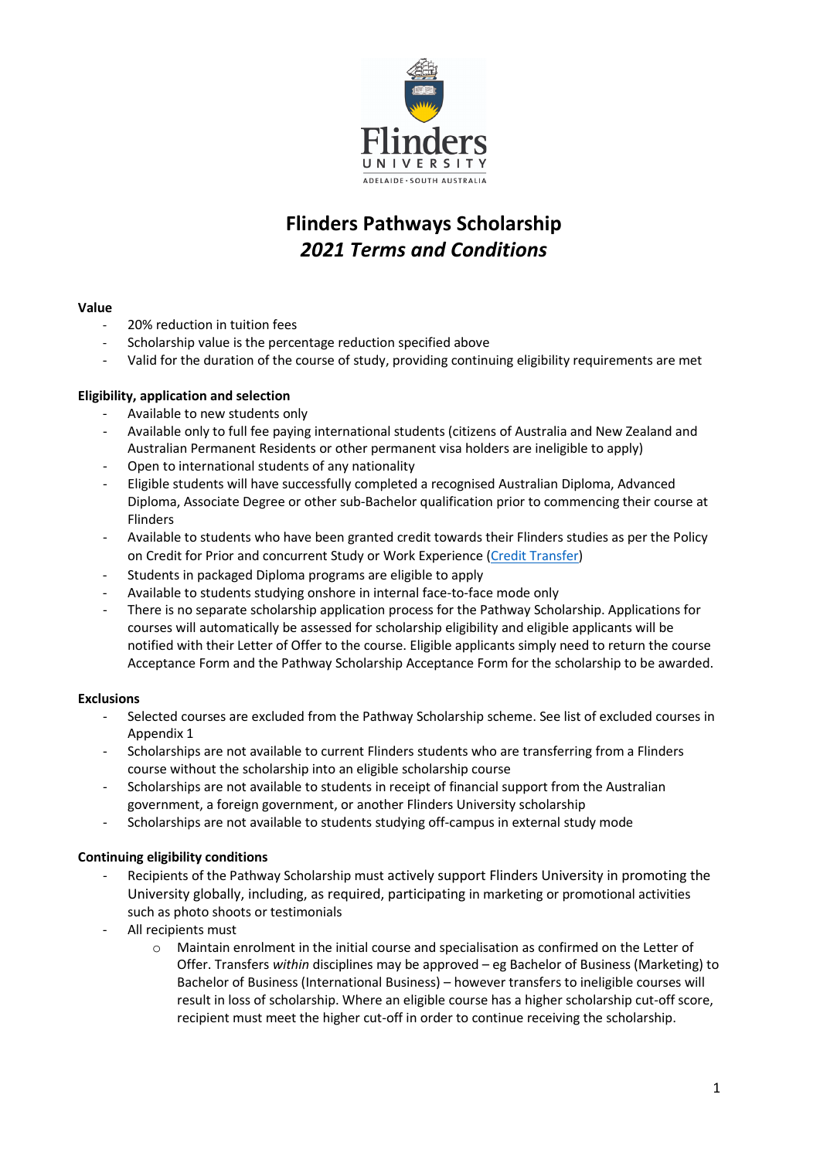

# **Flinders Pathways Scholarship** *2021 Terms and Conditions*

#### **Value**

- 20% reduction in tuition fees
- Scholarship value is the percentage reduction specified above
- Valid for the duration of the course of study, providing continuing eligibility requirements are met

### **Eligibility, application and selection**

- Available to new students only
- Available only to full fee paying international students (citizens of Australia and New Zealand and Australian Permanent Residents or other permanent visa holders are ineligible to apply)
- Open to international students of any nationality
- Eligible students will have successfully completed a recognised Australian Diploma, Advanced Diploma, Associate Degree or other sub-Bachelor qualification prior to commencing their course at Flinders
- Available to students who have been granted credit towards their Flinders studies as per the Policy on Credit for Prior and concurrent Study or Work Experience [\(Credit Transfer\)](https://www.flinders.edu.au/policies)
- Students in packaged Diploma programs are eligible to apply
- Available to students studying onshore in internal face-to-face mode only
- There is no separate scholarship application process for the Pathway Scholarship. Applications for courses will automatically be assessed for scholarship eligibility and eligible applicants will be notified with their Letter of Offer to the course. Eligible applicants simply need to return the course Acceptance Form and the Pathway Scholarship Acceptance Form for the scholarship to be awarded.

### **Exclusions**

- Selected courses are excluded from the Pathway Scholarship scheme. See list of excluded courses in Appendix 1
- Scholarships are not available to current Flinders students who are transferring from a Flinders course without the scholarship into an eligible scholarship course
- Scholarships are not available to students in receipt of financial support from the Australian government, a foreign government, or another Flinders University scholarship
- Scholarships are not available to students studying off-campus in external study mode

### **Continuing eligibility conditions**

- Recipients of the Pathway Scholarship must actively support Flinders University in promoting the University globally, including, as required, participating in marketing or promotional activities such as photo shoots or testimonials
- All recipients must
	- $\circ$  Maintain enrolment in the initial course and specialisation as confirmed on the Letter of Offer. Transfers *within* disciplines may be approved – eg Bachelor of Business (Marketing) to Bachelor of Business (International Business) – however transfers to ineligible courses will result in loss of scholarship. Where an eligible course has a higher scholarship cut-off score, recipient must meet the higher cut-off in order to continue receiving the scholarship.